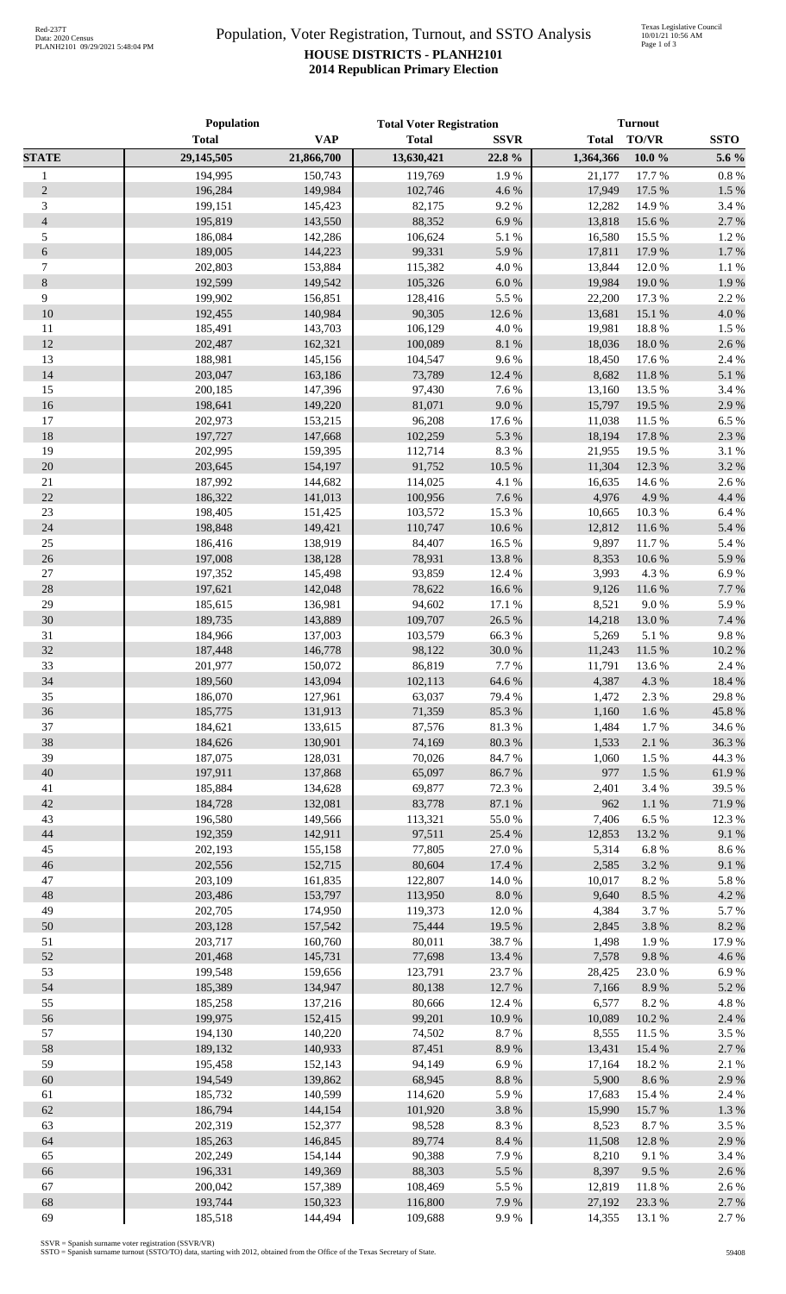## Population, Voter Registration, Turnout, and SSTO Analysis **HOUSE DISTRICTS - PLANH2101 2014 Republican Primary Election**

|                | Population   |            | <b>Total Voter Registration</b> |             | <b>Turnout</b> |           |             |
|----------------|--------------|------------|---------------------------------|-------------|----------------|-----------|-------------|
|                | <b>Total</b> | <b>VAP</b> | <b>Total</b>                    | <b>SSVR</b> | <b>Total</b>   | TO/VR     | <b>SSTO</b> |
| <b>STATE</b>   | 29,145,505   | 21,866,700 | 13,630,421                      | 22.8%       | 1,364,366      | $10.0 \%$ | 5.6 %       |
| $\mathbf{1}$   | 194,995      | 150,743    | 119,769                         | 1.9%        | 21,177         | 17.7 %    | 0.8%        |
| $\mathbf{2}$   | 196,284      | 149,984    | 102,746                         | 4.6 %       | 17,949         | 17.5 %    | 1.5 %       |
| 3              | 199,151      | 145,423    | 82,175                          | 9.2%        | 12,282         | 14.9%     | 3.4 %       |
| $\overline{4}$ | 195,819      | 143,550    | 88,352                          | 6.9%        | 13,818         | 15.6 %    | 2.7%        |
| 5              | 186,084      | 142,286    | 106,624                         | 5.1 %       | 16,580         | 15.5 %    | 1.2%        |
| $\sqrt{6}$     | 189,005      | 144,223    | 99,331                          | 5.9%        | 17,811         | 17.9%     | 1.7%        |
| 7              | 202,803      | 153,884    | 115,382                         | 4.0%        | 13,844         | 12.0%     | 1.1%        |
| $8\,$          | 192,599      | 149.542    | 105,326                         | $6.0\ \%$   | 19,984         | 19.0%     | 1.9%        |
| 9              | 199,902      | 156,851    | 128,416                         | 5.5 %       | 22,200         | 17.3 %    | 2.2 %       |
| 10             | 192,455      | 140,984    | 90,305                          | 12.6 %      | 13,681         | 15.1 %    | 4.0%        |
| 11             | 185,491      | 143,703    | 106,129                         | 4.0%        | 19,981         | 18.8%     | 1.5 %       |
| 12             | 202,487      | 162,321    | 100,089                         | 8.1 %       | 18,036         | 18.0%     | 2.6%        |
| 13             | 188,981      | 145,156    | 104,547                         | 9.6%        | 18,450         | 17.6 %    | 2.4 %       |
| 14             | 203,047      | 163,186    | 73,789                          | 12.4 %      | 8,682          | 11.8%     | 5.1 %       |
| 15             | 200,185      | 147,396    | 97,430                          | 7.6%        | 13,160         | 13.5 %    | 3.4 %       |
| 16             | 198,641      | 149,220    | 81,071                          | 9.0%        | 15,797         | 19.5 %    | 2.9%        |
| 17             | 202,973      | 153,215    | 96,208                          | 17.6 %      | 11,038         | 11.5 %    | 6.5%        |
| 18             | 197,727      | 147,668    | 102,259                         | 5.3 %       | 18,194         | 17.8 %    | 2.3 %       |
| 19             | 202,995      | 159,395    | 112,714                         | 8.3 %       | 21,955         | 19.5 %    | 3.1 %       |
| 20             | 203,645      | 154,197    | 91,752                          | 10.5 %      | 11,304         | 12.3 %    | 3.2%        |
| $21\,$         | 187,992      | 144,682    | 114,025                         | 4.1 %       | 16,635         | 14.6 %    | 2.6%        |
| 22             | 186,322      | 141,013    | 100,956                         | 7.6 %       | 4,976          | 4.9%      | 4.4 %       |
| $23\,$         | 198,405      | 151,425    | 103,572                         | 15.3%       | 10,665         | 10.3%     | 6.4%        |
| 24             | 198,848      | 149,421    | 110,747                         | 10.6 %      | 12,812         | 11.6%     | 5.4 %       |
| $25\,$         | 186,416      | 138,919    | 84,407                          | 16.5 %      | 9,897          | 11.7%     | 5.4 %       |
| $26\,$         | 197,008      | 138,128    | 78,931                          | 13.8 %      | 8,353          | 10.6%     | 5.9%        |
| $27\,$         | 197,352      | 145,498    | 93,859                          | 12.4 %      | 3,993          | 4.3 %     | 6.9%        |
| 28             | 197,621      | 142,048    | 78,622                          | 16.6%       | 9,126          | 11.6%     | 7.7 %       |
| 29             | 185,615      | 136,981    | 94,602                          | 17.1 %      | 8,521          | 9.0%      | 5.9%        |
| 30             | 189,735      | 143,889    | 109,707                         | 26.5 %      | 14,218         | 13.0%     | 7.4 %       |
| 31             | 184,966      | 137,003    | 103,579                         | 66.3%       | 5,269          | 5.1 %     | 9.8%        |
| 32             | 187,448      | 146,778    | 98,122                          | 30.0%       | 11,243         | 11.5 %    | 10.2 %      |
| 33             | 201,977      | 150,072    | 86,819                          | 7.7%        | 11,791         | 13.6%     | 2.4 %       |
| 34             | 189,560      | 143,094    | 102,113                         | 64.6 %      | 4,387          | 4.3 %     | 18.4 %      |
| 35             | 186,070      | 127,961    | 63,037                          | 79.4 %      | 1,472          | 2.3 %     | 29.8%       |
| 36             | 185,775      | 131,913    | 71,359                          | 85.3%       | 1,160          | 1.6%      | 45.8%       |
| 37             | 184,621      | 133,615    | 87,576                          | 81.3%       | 1,484          | 1.7%      | 34.6%       |
| 38             | 184,626      | 130,901    | 74,169                          | 80.3 %      | 1,533          | 2.1%      | 36.3%       |
| 39             | 187,075      | 128,031    | 70,026                          | 84.7%       | 1,060          | 1.5 %     | 44.3 %      |
| 40             | 197,911      | 137,868    | 65,097                          | 86.7%       | 977            | 1.5 %     | 61.9%       |
| 41             | 185,884      | 134,628    | 69,877                          | 72.3 %      | 2,401          | 3.4 %     | 39.5 %      |
| 42             | 184,728      | 132,081    | 83,778                          | 87.1 %      | 962            | $1.1~\%$  | 71.9%       |
| 43             | 196,580      | 149,566    | 113,321                         | 55.0%       | 7,406          | 6.5%      | 12.3 %      |
| 44             | 192,359      | 142,911    | 97,511                          | 25.4 %      | 12,853         | 13.2 %    | 9.1%        |
| 45             | 202,193      | 155,158    | 77,805                          | 27.0%       | 5,314          | 6.8%      | 8.6%        |
| 46             | 202,556      | 152,715    | 80,604                          | 17.4 %      | 2,585          | 3.2 %     | 9.1%        |
| 47             | 203,109      | 161,835    | 122,807                         | 14.0 %      | 10,017         | 8.2%      | 5.8 %       |
| 48             | 203,486      | 153,797    | 113,950                         | $8.0\ \%$   | 9,640          | 8.5 %     | 4.2 %       |
| 49             | 202,705      | 174,950    | 119,373                         | 12.0 %      | 4,384          | 3.7%      | 5.7%        |
| 50             | 203,128      | 157,542    | 75,444                          | 19.5 %      | 2,845          | 3.8%      | 8.2%        |
| 51             | 203,717      | 160,760    | 80,011                          | 38.7%       | 1,498          | 1.9%      | 17.9%       |
| 52             | 201,468      | 145,731    | 77,698                          | 13.4 %      | 7,578          | 9.8%      | 4.6%        |
| 53             | 199,548      | 159,656    | 123,791                         | 23.7%       | 28,425         | 23.0%     | 6.9%        |
| 54             | 185,389      | 134,947    | 80,138                          | 12.7 %      | 7,166          | 8.9%      | 5.2 %       |
| 55             | 185,258      | 137,216    | 80,666                          | 12.4 %      | 6,577          | 8.2%      | 4.8%        |
| 56             | 199,975      | 152,415    | 99,201                          | 10.9%       | 10,089         | 10.2%     | 2.4 %       |
| 57             | 194,130      | 140,220    | 74,502                          | 8.7%        | 8,555          | 11.5 %    | 3.5%        |
| 58             | 189,132      | 140,933    | 87,451                          | 8.9%        | 13,431         | 15.4 %    | 2.7 %       |
| 59             | 195,458      | 152,143    | 94,149                          | 6.9%        | 17,164         | 18.2%     | 2.1 %       |
| 60             | 194,549      | 139,862    | 68,945                          | $8.8~\%$    | 5,900          | 8.6%      | 2.9%        |
| 61             | 185,732      | 140,599    | 114,620                         | 5.9%        | 17,683         | 15.4 %    | 2.4 %       |
| 62             | 186,794      | 144,154    | 101,920                         | 3.8 %       | 15,990         | 15.7%     | 1.3%        |
| 63             | 202,319      | 152,377    | 98,528                          | 8.3%        | 8,523          | 8.7%      | 3.5%        |
| 64             | 185,263      | 146,845    | 89,774                          | $8.4~\%$    | 11,508         | 12.8%     | 2.9%        |
| 65             | 202,249      | 154,144    | 90,388                          | 7.9%        | 8,210          | 9.1%      | 3.4 %       |
| 66             | 196,331      | 149,369    | 88,303                          | 5.5 %       | 8,397          | 9.5%      | 2.6%        |
| 67             | 200,042      | 157,389    | 108,469                         | 5.5 %       | 12,819         | 11.8%     | 2.6%        |
| 68             | 193,744      | 150,323    | 116,800                         | 7.9%        | 27,192         | 23.3 %    | 2.7%        |
| 69             | 185,518      | 144,494    | 109,688                         | 9.9%        | 14,355         | 13.1 %    | 2.7 %       |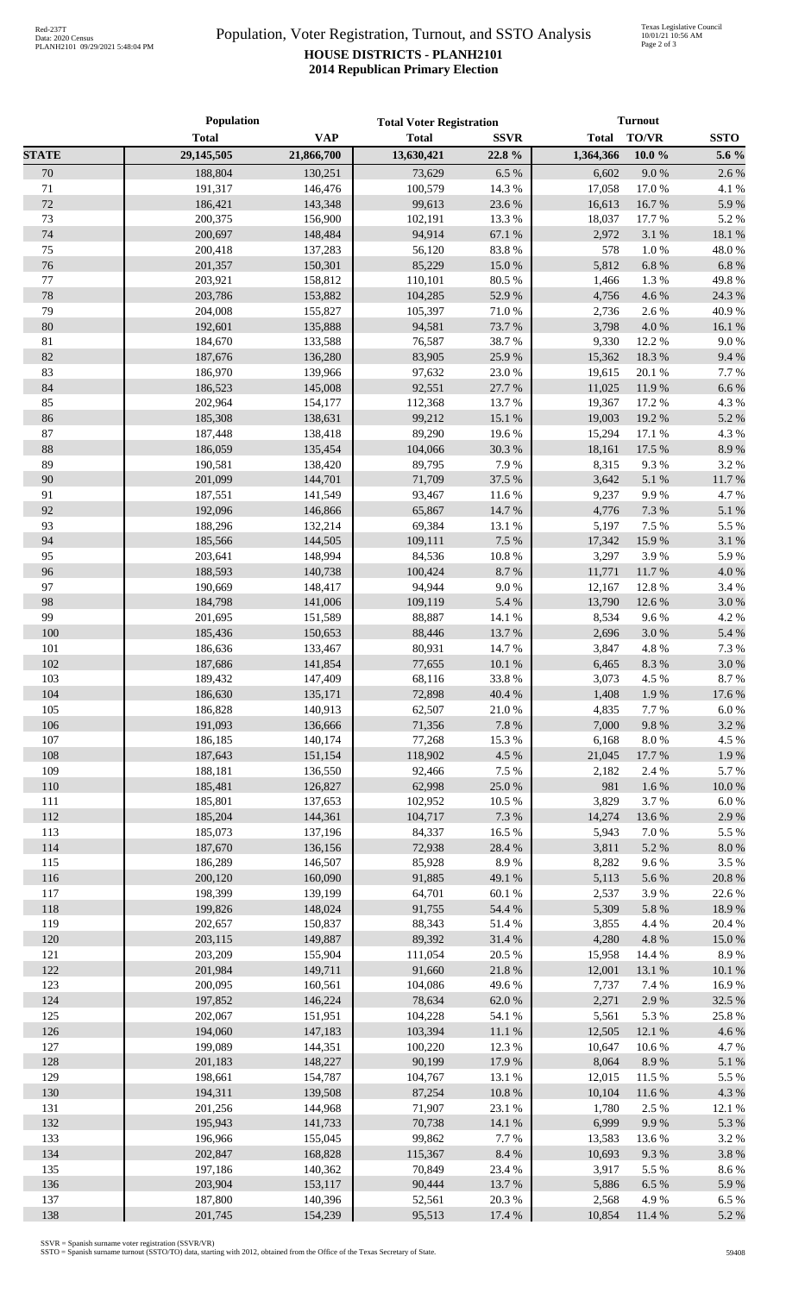## Population, Voter Registration, Turnout, and SSTO Analysis **HOUSE DISTRICTS - PLANH2101 2014 Republican Primary Election**

|              | <b>Population</b>  |                    | <b>Total Voter Registration</b> |                 | <b>Turnout</b>  |                |                |
|--------------|--------------------|--------------------|---------------------------------|-----------------|-----------------|----------------|----------------|
|              | <b>Total</b>       | <b>VAP</b>         | <b>Total</b>                    | <b>SSVR</b>     | <b>Total</b>    | TO/VR          | <b>SSTO</b>    |
| <b>STATE</b> | 29,145,505         | 21,866,700         | 13,630,421                      | 22.8 %          | 1,364,366       | $10.0 \%$      | 5.6 %          |
| 70           | 188,804            | 130,251            | 73,629                          | 6.5%            | 6,602           | 9.0%           | 2.6%           |
| 71           | 191,317            | 146,476            | 100,579                         | 14.3 %          | 17,058          | 17.0%          | 4.1 %          |
| 72           | 186,421            | 143,348            | 99,613                          | 23.6 %          | 16,613          | 16.7%          | 5.9%           |
| 73           | 200,375            | 156,900            | 102,191                         | 13.3 %          | 18,037          | 17.7 %         | 5.2%           |
| 74           | 200,697            | 148,484            | 94,914                          | 67.1 %          | 2,972           | 3.1 %          | 18.1 %         |
| 75           | 200,418            | 137,283            | 56,120                          | 83.8%           | 578             | 1.0%           | 48.0%          |
| 76           | 201,357            | 150,301            | 85,229                          | 15.0%           | 5,812           | $6.8~\%$       | 6.8%           |
| 77           | 203,921            | 158,812            | 110,101                         | 80.5 %          | 1,466           | 1.3 %          | 49.8%          |
| 78           | 203,786            | 153,882            | 104,285                         | 52.9%           | 4,756           | 4.6 %          | 24.3 %         |
| 79           | 204,008            | 155,827            | 105,397                         | 71.0 %          | 2,736           | 2.6%           | 40.9%          |
| 80           | 192,601            | 135,888            | 94,581                          | 73.7%           | 3,798           | 4.0%           | 16.1 %         |
| 81           | 184,670            | 133,588            | 76,587                          | 38.7%           | 9,330           | 12.2 %         | 9.0 %          |
| 82           | 187,676            | 136,280            | 83,905                          | 25.9%           | 15,362          | 18.3 %         | 9.4%           |
| 83           | 186,970            | 139,966            | 97,632                          | 23.0%           | 19,615          | 20.1 %         | 7.7 %          |
| 84           | 186,523            | 145,008            | 92,551                          | 27.7 %          | 11,025          | 11.9 %         | 6.6%           |
| 85           | 202,964            | 154,177            | 112,368                         | 13.7%           | 19,367          | 17.2 %         | 4.3 %          |
| 86           | 185,308            | 138,631            | 99,212                          | 15.1 %          | 19,003          | 19.2%          | 5.2 %          |
| $87\,$       | 187,448            | 138,418            | 89,290                          | 19.6%           | 15,294          | 17.1 %         | 4.3 %          |
| 88           | 186,059            | 135,454            | 104,066                         | 30.3%           | 18,161          | 17.5 %         | 8.9%           |
| 89           | 190,581            | 138,420            | 89,795                          | 7.9%            | 8,315           | 9.3%           | 3.2 %          |
| 90           | 201,099            | 144,701            | 71,709                          | 37.5 %          | 3,642           | 5.1 %          | 11.7 %         |
| 91           | 187,551            | 141,549            | 93,467                          | $11.6\ \%$      | 9,237           | 9.9%           | 4.7%           |
| 92           | 192,096            | 146,866            | 65,867                          | 14.7 %          | 4,776           | 7.3 %          | 5.1 %          |
| 93<br>94     | 188,296<br>185,566 | 132,214<br>144,505 | 69,384<br>109,111               | 13.1 %<br>7.5 % | 5,197<br>17,342 | 7.5 %<br>15.9% | 5.5 %<br>3.1 % |
| 95           | 203,641            | 148,994            | 84,536                          | $10.8~\%$       | 3,297           |                | 5.9%           |
| 96           | 188,593            | 140,738            | 100,424                         | 8.7%            | 11,771          | 3.9%<br>11.7%  | 4.0 %          |
| 97           | 190,669            | 148,417            | 94,944                          | $9.0\ \%$       | 12,167          | 12.8%          | 3.4 %          |
| 98           | 184,798            | 141,006            | 109,119                         | 5.4 %           | 13,790          | 12.6 %         | $3.0\ \%$      |
| 99           | 201,695            | 151,589            | 88,887                          | 14.1 %          | 8,534           | 9.6%           | 4.2 %          |
| 100          | 185,436            | 150,653            | 88,446                          | 13.7 %          | 2,696           | 3.0%           | 5.4 %          |
| 101          | 186,636            | 133,467            | 80,931                          | 14.7%           | 3,847           | 4.8 %          | 7.3 %          |
| 102          | 187,686            | 141,854            | 77,655                          | 10.1%           | 6,465           | 8.3%           | $3.0\ \%$      |
| 103          | 189,432            | 147,409            | 68,116                          | 33.8%           | 3,073           | 4.5 %          | 8.7%           |
| 104          | 186,630            | 135,171            | 72,898                          | 40.4 %          |                 | 1,408 1.9 %    | 17.6%          |
| 105          | 186,828            | 140,913            | 62,507                          | 21.0%           | 4,835           | 7.7 %          | 6.0%           |
| 106          | 191,093            | 136,666            | 71,356                          | 7.8 %           | 7,000           | 9.8%           | 3.2 %          |
| 107          | 186,185            | 140,174            | 77,268                          | 15.3 %          | 6,168           | $8.0\ \%$      | 4.5 %          |
| 108          | 187,643            | 151,154            | 118,902                         | 4.5 %           | 21,045          | 17.7 %         | 1.9%           |
| 109          | 188,181            | 136,550            | 92,466                          | 7.5 %           | 2,182           | 2.4 %          | 5.7%           |
| 110          | 185,481            | 126,827            | 62,998                          | $25.0\;\%$      | 981             | 1.6 %          | $10.0~\%$      |
| 111          | 185,801            | 137,653            | 102,952                         | 10.5 %          | 3,829           | 3.7 %          | 6.0%           |
| 112          | 185,204            | 144,361            | 104,717                         | 7.3 %           | 14,274          | 13.6 %         | 2.9%           |
| 113          | 185,073            | 137,196            | 84,337                          | 16.5 %          | 5,943           | 7.0%           | 5.5 %          |
| 114          | 187,670            | 136,156            | 72,938                          | 28.4 %          | 3,811           | 5.2 %          | $8.0\ \%$      |
| 115          | 186,289            | 146,507            | 85,928                          | 8.9%            | 8,282           | 9.6%           | 3.5%           |
| 116          | 200,120            | 160,090            | 91,885                          | 49.1 %          | 5,113           | 5.6 %          | 20.8 %         |
| 117          | 198,399            | 139,199            | 64,701                          | 60.1%           | 2,537           | 3.9%           | 22.6%          |
| 118          | 199,826            | 148,024            | 91,755                          | 54.4 %          | 5,309           | 5.8%           | 18.9%          |
| 119          | 202,657            | 150,837            | 88,343                          | 51.4%           | 3,855           | 4.4 %          | 20.4 %         |
| 120          | 203,115            | 149,887            | 89,392                          | 31.4 %          | 4,280           | 4.8 %          | 15.0%          |
| 121          | 203,209            | 155,904            | 111,054                         | 20.5 %          | 15,958          | 14.4 %         | 8.9%           |
| 122          | 201,984            | 149,711            | 91,660                          | 21.8 %          | 12,001          | 13.1 %         | $10.1~\%$      |
| 123          | 200,095            | 160,561            | 104,086                         | 49.6%           | 7,737           | 7.4 %          | 16.9%          |
| 124          | 197,852            | 146,224            | 78,634                          | 62.0%           | 2,271           | 2.9%           | 32.5 %         |
| 125          | 202,067            | 151,951            | 104,228                         | $54.1~\%$       | 5,561           | 5.3 %          | 25.8%          |
| 126          | 194,060            | 147,183            | 103,394                         | $11.1\ \%$      | 12,505          | 12.1 %         | 4.6%           |
| 127          | 199,089            | 144,351            | 100,220                         | 12.3 %          | 10,647          | 10.6%          | 4.7%           |
| 128          | 201,183            | 148,227            | 90,199                          | 17.9%           | 8,064           | 8.9%           | $5.1~\%$       |
| 129          | 198,661            | 154,787            | 104,767                         | 13.1 %          | 12,015          | 11.5 %         | 5.5 %          |
| 130          | 194,311            | 139,508            | 87,254                          | $10.8~\%$       | 10,104          | 11.6 %         | 4.3 %          |
| 131          | 201,256            | 144,968            | 71,907                          | 23.1 %          | 1,780           | 2.5 %          | 12.1 %         |
| 132          | 195,943            | 141,733            | 70,738                          | 14.1 %          | 6,999           | 9.9%           | 5.3 %          |
| 133          | 196,966            | 155,045            | 99,862                          | 7.7 %           | 13,583          | 13.6 %         | 3.2 %          |
| 134          | 202,847            | 168,828            | 115,367                         | 8.4 %           | 10,693          | 9.3%           | 3.8%           |
| 135          | 197,186            | 140,362            | 70,849                          | 23.4 %          | 3,917           | 5.5 %          | 8.6%           |
| 136          | 203,904            | 153,117            | 90,444                          | 13.7%<br>20.3%  | 5,886           | 6.5%           | 5.9%           |
| 137<br>138   | 187,800<br>201,745 | 140,396<br>154,239 | 52,561<br>95,513                | 17.4 %          | 2,568<br>10,854 | 4.9%<br>11.4 % | 6.5%<br>5.2 %  |
|              |                    |                    |                                 |                 |                 |                |                |